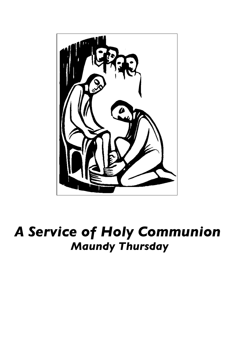

# *A Service of Holy Communion Maundy Thursday*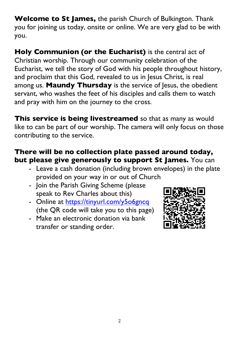**Welcome to St James,** the parish Church of Bulkington. Thank you for joining us today, onsite or online. We are very glad to be with you.

**Holy Communion (or the Eucharist)** is the central act of Christian worship. Through our community celebration of the Eucharist, we tell the story of God with his people throughout history, and proclaim that this God, revealed to us in Jesus Christ, is real among us. **Maundy Thursday** is the service of Jesus, the obedient servant, who washes the feet of his disciples and calls them to watch and pray with him on the journey to the cross.

**This service is being livestreamed** so that as many as would like to can be part of our worship. The camera will only focus on those contributing to the service.

### **There will be no collection plate passed around today, but please give generously to support St James.** You can

- Leave a cash donation (including brown envelopes) in the plate provided on your way in or out of Church
- Join the Parish Giving Scheme (please speak to Rev Charles about this)
- Online at https://tinyurl.com/y506gncq (the QR code will take you to this page)
- Make an electronic donation via bank transfer or standing order.

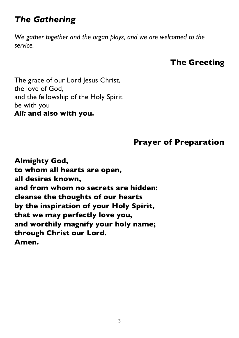# *The Gathering*

*We gather together and the organ plays, and we are welcomed to the service.* 

# **The Greeting**

The grace of our Lord Jesus Christ, the love of God, and the fellowship of the Holy Spirit be with you *All:* **and also with you.**

### **Prayer of Preparation**

**Almighty God, to whom all hearts are open, all desires known, and from whom no secrets are hidden: cleanse the thoughts of our hearts by the inspiration of your Holy Spirit, that we may perfectly love you, and worthily magnify your holy name; through Christ our Lord. Amen.**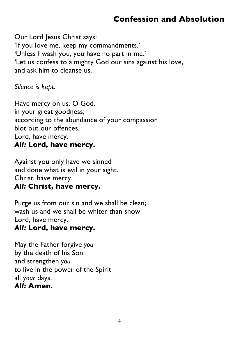# **Confession and Absolution**

Our Lord Jesus Christ says: 'If you love me, keep my commandments.' 'Unless I wash you, you have no part in me.' 'Let us confess to almighty God our sins against his love, and ask him to cleanse us.

*Silence is kept.*

Have mercy on us, O God, in your great goodness; according to the abundance of your compassion blot out our offences. Lord, have mercy. *All:* **Lord, have mercy.**

Against you only have we sinned and done what is evil in your sight. Christ, have mercy. *All:* **Christ, have mercy.**

Purge us from our sin and we shall be clean; wash us and we shall be whiter than snow. Lord, have mercy.

#### *All:* **Lord, have mercy.**

May the Father forgive *you* by the death of his Son and strengthen *you* to live in the power of the Spirit all y*our* days. *All:* **Amen.**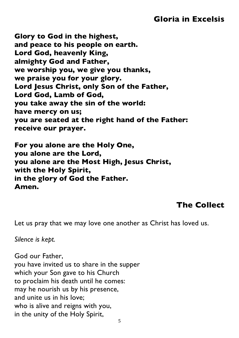### **Gloria in Excelsis**

**Glory to God in the highest, and peace to his people on earth. Lord God, heavenly King, almighty God and Father, we worship you, we give you thanks, we praise you for your glory. Lord Jesus Christ, only Son of the Father, Lord God, Lamb of God, you take away the sin of the world: have mercy on us; you are seated at the right hand of the Father: receive our prayer.**

**For you alone are the Holy One, you alone are the Lord, you alone are the Most High, Jesus Christ, with the Holy Spirit, in the glory of God the Father. Amen.**

#### **The Collect**

Let us pray that we may love one another as Christ has loved us.

*Silence is kept.*

God our Father, you have invited us to share in the supper which your Son gave to his Church to proclaim his death until he comes: may he nourish us by his presence, and unite us in his love; who is alive and reigns with you, in the unity of the Holy Spirit,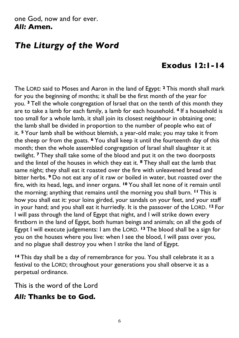#### one God, now and for ever. *All:* **Amen.**

# *The Liturgy of the Word*

## **Exodus 12:1-14**

The LORD said to Moses and Aaron in the land of Egypt: **<sup>2</sup>** This month shall mark for you the beginning of months; it shall be the first month of the year for you. **<sup>3</sup>** Tell the whole congregation of Israel that on the tenth of this month they are to take a lamb for each family, a lamb for each household. **<sup>4</sup>** If a household is too small for a whole lamb, it shall join its closest neighbour in obtaining one; the lamb shall be divided in proportion to the number of people who eat of it. **<sup>5</sup>** Your lamb shall be without blemish, a year-old male; you may take it from the sheep or from the goats. **<sup>6</sup>** You shall keep it until the fourteenth day of this month; then the whole assembled congregation of Israel shall slaughter it at twilight. **<sup>7</sup>** They shall take some of the blood and put it on the two doorposts and the lintel of the houses in which they eat it. **<sup>8</sup>** They shall eat the lamb that same night; they shall eat it roasted over the fire with unleavened bread and bitter herbs. **<sup>9</sup>** Do not eat any of it raw or boiled in water, but roasted over the fire, with its head, legs, and inner organs. **<sup>10</sup>** You shall let none of it remain until the morning; anything that remains until the morning you shall burn. **<sup>11</sup>** This is how you shall eat it: your loins girded, your sandals on your feet, and your staff in your hand; and you shall eat it hurriedly. It is the passover of the LORD. **<sup>12</sup>** For I will pass through the land of Egypt that night, and I will strike down every firstborn in the land of Egypt, both human beings and animals; on all the gods of Egypt I will execute judgements: I am the LORD. **<sup>13</sup>** The blood shall be a sign for you on the houses where you live: when I see the blood, I will pass over you, and no plague shall destroy you when I strike the land of Egypt.

**<sup>14</sup>** This day shall be a day of remembrance for you. You shall celebrate it as a festival to the LORD; throughout your generations you shall observe it as a perpetual ordinance.

This is the word of the Lord

#### *All:* **Thanks be to God.**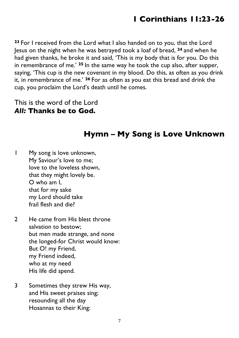**<sup>23</sup>** For I received from the Lord what I also handed on to you, that the Lord Jesus on the night when he was betrayed took a loaf of bread, **<sup>24</sup>** and when he had given thanks, he broke it and said, 'This is my body that is for you. Do this in remembrance of me.' **<sup>25</sup>** In the same way he took the cup also, after supper, saying, 'This cup is the new covenant in my blood. Do this, as often as you drink it, in remembrance of me.' **<sup>26</sup>** For as often as you eat this bread and drink the cup, you proclaim the Lord's death until he comes.

This is the word of the Lord *All:* **Thanks be to God.**

### **Hymn – My Song is Love Unknown**

1 My song is love unknown, My Saviour's love to me; love to the loveless shown, that they might lovely be. O who am I, that for my sake my Lord should take frail flesh and die?

- 2 He came from His blest throne salvation to bestow; but men made strange, and none the longed-for Christ would know: But O! my Friend, my Friend indeed, who at my need His life did spend.
- 3 Sometimes they strew His way, and His sweet praises sing; resounding all the day Hosannas to their King: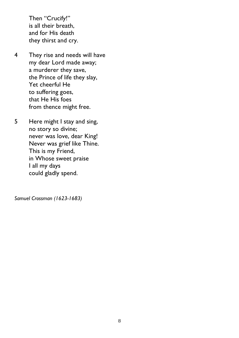Then "Crucify!" is all their breath, and for His death they thirst and cry.

- 4 They rise and needs will have my dear Lord made away; a murderer they save, the Prince of life they slay, Yet cheerful He to suffering goes, that He His foes from thence might free.
- 5 Here might I stay and sing, no story so divine; never was love, dear King! Never was grief like Thine. This is my Friend, in Whose sweet praise I all my days could gladly spend.

*Samuel Crossman (1623-1683)*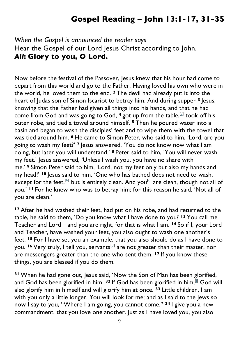# **Gospel Reading – John 13:1-17, 31-35**

#### *When the Gospel is announced the reader says* Hear the Gospel of our Lord Jesus Christ according to John. *All***: Glory to you, O Lord.**

Now before the festival of the Passover, Jesus knew that his hour had come to depart from this world and go to the Father. Having loved his own who were in the world, he loved them to the end. **<sup>2</sup>** The devil had already put it into the heart of Judas son of Simon Iscariot to betray him. And during supper **<sup>3</sup>** Jesus, knowing that the Father had given all things into his hands, and that he had come from God and was going to God, <sup>4</sup> got up from the table,<sup>[a]</sup> took off his outer robe, and tied a towel around himself. **<sup>5</sup>** Then he poured water into a basin and began to wash the disciples' feet and to wipe them with the towel that was tied around him. **<sup>6</sup>** He came to Simon Peter, who said to him, 'Lord, are you going to wash my feet?' **<sup>7</sup>** Jesus answered, 'You do not know now what I am doing, but later you will understand.' **<sup>8</sup>** Peter said to him, 'You will never wash my feet.' Jesus answered, 'Unless I wash you, you have no share with me.' **<sup>9</sup>** Simon Peter said to him, 'Lord, not my feet only but also my hands and my head!' <sup>10</sup> lesus said to him, 'One who has bathed does not need to wash, except for the feet.<sup>[b]</sup> but is entirely clean. And you<sup>[c]</sup> are clean, though not all of you.' **<sup>11</sup>** For he knew who was to betray him; for this reason he said, 'Not all of you are clean.'

**<sup>12</sup>** After he had washed their feet, had put on his robe, and had returned to the table, he said to them, 'Do you know what I have done to you? **<sup>13</sup>** You call me Teacher and Lord—and you are right, for that is what I am. **<sup>14</sup>** So if I, your Lord and Teacher, have washed your feet, you also ought to wash one another's feet. **<sup>15</sup>** For I have set you an example, that you also should do as I have done to you. <sup>16</sup> Very truly, I tell you, servants<sup>[d]</sup> are not greater than their master, nor are messengers greater than the one who sent them. **<sup>17</sup>** If you know these things, you are blessed if you do them.

**<sup>31</sup>** When he had gone out, Jesus said, 'Now the Son of Man has been glorified, and God has been glorified in him. <sup>32</sup> If God has been glorified in him,<sup>[i]</sup> God will also glorify him in himself and will glorify him at once. **<sup>33</sup>** Little children, I am with you only a little longer. You will look for me; and as I said to the Jews so now I say to you, "Where I am going, you cannot come." **<sup>34</sup>** I give you a new commandment, that you love one another. Just as I have loved you, you also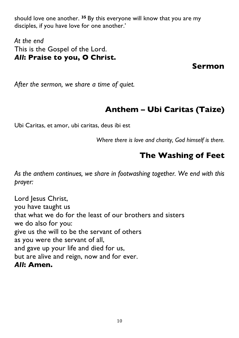should love one another. **<sup>35</sup>** By this everyone will know that you are my disciples, if you have love for one another.'

*At the end* This is the Gospel of the Lord. *All***: Praise to you, O Christ.**

**Sermon**

*After the sermon, we share a time of quiet.*

# **Anthem – Ubi Caritas (Taize)**

Ubi Caritas, et amor, ubi caritas, deus ibi est

*Where there is love and charity, God himself is there.*

# **The Washing of Feet**

*As the anthem continues, we share in footwashing together. We end with this prayer:*

Lord Jesus Christ, you have taught us that what we do for the least of our brothers and sisters we do also for you: give us the will to be the servant of others as you were the servant of all, and gave up your life and died for us, but are alive and reign, now and for ever. *All***: Amen.**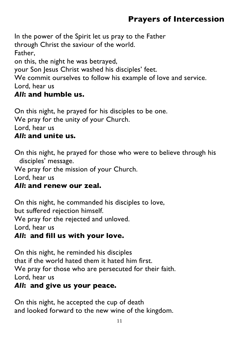# **Prayers of Intercession**

In the power of the Spirit let us pray to the Father through Christ the saviour of the world. Father, on this, the night he was betrayed, your Son Jesus Christ washed his disciples' feet. We commit ourselves to follow his example of love and service. Lord, hear us *All***: and humble us.**

On this night, he prayed for his disciples to be one. We pray for the unity of your Church. Lord, hear us *All***: and unite us.**

On this night, he prayed for those who were to believe through his disciples' message.

We pray for the mission of your Church.

Lord, hear us

#### *All***: and renew our zeal.**

On this night, he commanded his disciples to love, but suffered rejection himself. We pray for the rejected and unloved. Lord, hear us *All***: and fill us with your love.**

On this night, he reminded his disciples that if the world hated them it hated him first. We pray for those who are persecuted for their faith. Lord, hear us

#### *All***: and give us your peace.**

On this night, he accepted the cup of death and looked forward to the new wine of the kingdom.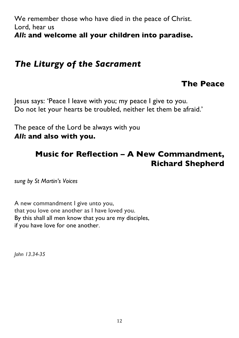We remember those who have died in the peace of Christ. Lord, hear us *All***: and welcome all your children into paradise.**

# *The Liturgy of the Sacrament*

### **The Peace**

Jesus says: 'Peace I leave with you; my peace I give to you. Do not let your hearts be troubled, neither let them be afraid.'

The peace of the Lord be always with you *All***: and also with you.**

### **Music for Reflection – A New Commandment, Richard Shepherd**

*sung by St Martin's Voices*

A new commandment I give unto you, that you love one another as I have loved you. By this shall all men know that you are my disciples, if you have love for one another.

*John 13.34-35*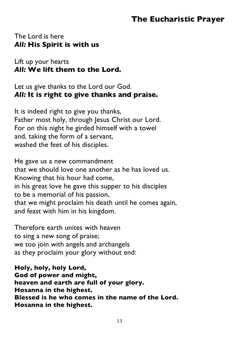### **The Eucharistic Prayer**

#### The Lord is here *All:* **His Spirit is with us**

Lift up your hearts *All:* **We lift them to the Lord.**

Let us give thanks to the Lord our God. *All:* **It is right to give thanks and praise.**

It is indeed right to give you thanks, Father most holy, through Jesus Christ our Lord. For on this night he girded himself with a towel and, taking the form of a servant, washed the feet of his disciples.

He gave us a new commandment that we should love one another as he has loved us. Knowing that his hour had come, in his great love he gave this supper to his disciples to be a memorial of his passion, that we might proclaim his death until he comes again, and feast with him in his kingdom.

Therefore earth unites with heaven to sing a new song of praise; we too join with angels and archangels as they proclaim your glory without end:

**Holy, holy, holy Lord, God of power and might, heaven and earth are full of your glory. Hosanna in the highest. Blessed is he who comes in the name of the Lord. Hosanna in the highest.**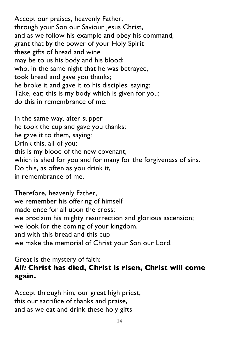Accept our praises, heavenly Father, through your Son our Saviour Jesus Christ, and as we follow his example and obey his command, grant that by the power of your Holy Spirit these gifts of bread and wine may be to us his body and his blood; who, in the same night that he was betrayed, took bread and gave you thanks; he broke it and gave it to his disciples, saying: Take, eat; this is my body which is given for you; do this in remembrance of me.

In the same way, after supper he took the cup and gave you thanks; he gave it to them, saying: Drink this, all of you; this is my blood of the new covenant, which is shed for you and for many for the forgiveness of sins. Do this, as often as you drink it, in remembrance of me.

Therefore, heavenly Father, we remember his offering of himself made once for all upon the cross; we proclaim his mighty resurrection and glorious ascension; we look for the coming of your kingdom, and with this bread and this cup we make the memorial of Christ your Son our Lord.

#### Great is the mystery of faith: *All:* **Christ has died, Christ is risen, Christ will come again.**

Accept through him, our great high priest, this our sacrifice of thanks and praise, and as we eat and drink these holy gifts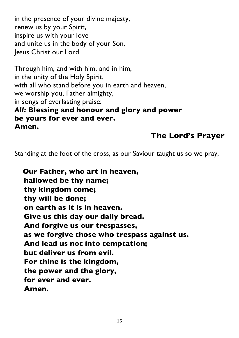in the presence of your divine majesty, renew us by your Spirit, inspire us with your love and unite us in the body of your Son, Jesus Christ our Lord.

Through him, and with him, and in him, in the unity of the Holy Spirit, with all who stand before you in earth and heaven, we worship you, Father almighty, in songs of everlasting praise: *All:* **Blessing and honour and glory and power be yours for ever and ever. Amen.**

### **The Lord's Prayer**

Standing at the foot of the cross, as our Saviour taught us so we pray,

**Our Father, who art in heaven, hallowed be thy name; thy kingdom come; thy will be done; on earth as it is in heaven. Give us this day our daily bread. And forgive us our trespasses, as we forgive those who trespass against us. And lead us not into temptation; but deliver us from evil. For thine is the kingdom, the power and the glory, for ever and ever. Amen.**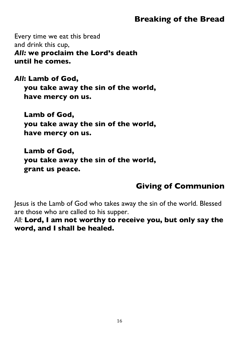### **Breaking of the Bread**

Every time we eat this bread and drink this cup, *All:* **we proclaim the Lord's death until he comes.**

*All***: Lamb of God, you take away the sin of the world, have mercy on us.**

**Lamb of God, you take away the sin of the world, have mercy on us.**

**Lamb of God, you take away the sin of the world, grant us peace.**

# **Giving of Communion**

Jesus is the Lamb of God who takes away the sin of the world. Blessed are those who are called to his supper.

*All:* **Lord, I am not worthy to receive you, but only say the word, and I shall be healed.**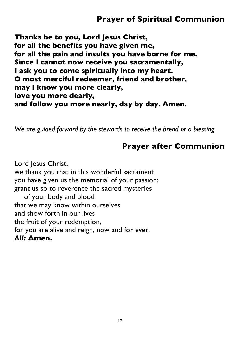## **Prayer of Spiritual Communion**

**Thanks be to you, Lord Jesus Christ, for all the benefits you have given me, for all the pain and insults you have borne for me. Since I cannot now receive you sacramentally, I ask you to come spiritually into my heart. O most merciful redeemer, friend and brother, may I know you more clearly, love you more dearly, and follow you more nearly, day by day. Amen.**

*We are guided forward by the stewards to receive the bread or a blessing.*

#### **Prayer after Communion**

Lord Jesus Christ, we thank you that in this wonderful sacrament you have given us the memorial of your passion: grant us so to reverence the sacred mysteries of your body and blood that we may know within ourselves and show forth in our lives the fruit of your redemption, for you are alive and reign, now and for ever. *All:* **Amen.**